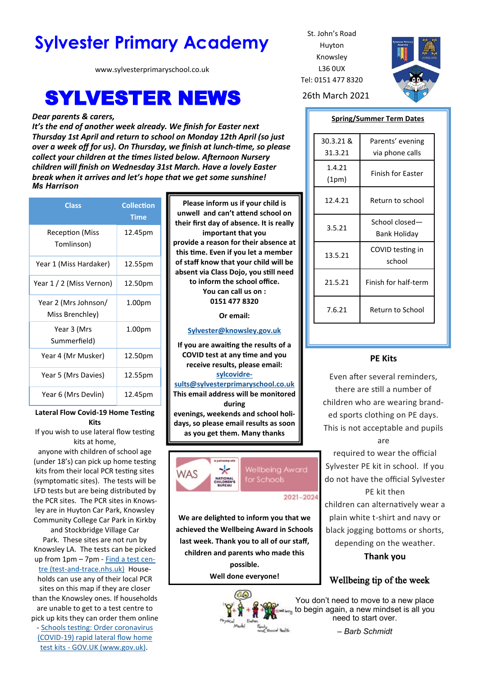# **Sylvester Primary Academy** St. John's Road

www.sylvesterprimaryschool.co.uk

# **SYLVESTER NEWS** 26th March 2021

#### *Dear parents & carers,*

*It's the end of another week already. We finish for Easter next Thursday 1st April and return to school on Monday 12th April (so just over a week off for us). On Thursday, we finish at lunch-time, so please collect your children at the times listed below. Afternoon Nursery children will finish on Wednesday 31st March. Have a lovely Easter break when it arrives and let's hope that we get some sunshine! Ms Harrison*

| <b>Class</b>                            | <b>Collection</b><br><b>Time</b> |
|-----------------------------------------|----------------------------------|
| <b>Reception (Miss</b><br>Tomlinson)    | 12.45pm                          |
| Year 1 (Miss Hardaker)                  | 12.55pm                          |
| Year 1 / 2 (Miss Vernon)                | 12.50pm                          |
| Year 2 (Mrs Johnson/<br>Miss Brenchley) | 1.00pm                           |
| Year 3 (Mrs<br>Summerfield)             | 1.00 <sub>pm</sub>               |
| Year 4 (Mr Musker)                      | 12.50pm                          |
| Year 5 (Mrs Davies)                     | 12.55pm                          |
| Year 6 (Mrs Devlin)                     | 12.45pm                          |

**Lateral Flow Covid-19 Home Testing Kits**

If you wish to use lateral flow testing kits at home,

anyone with children of school age (under 18's) can pick up home testing kits from their local PCR testing sites (symptomatic sites). The tests will be LFD tests but are being distributed by the PCR sites. The PCR sites in Knowsley are in Huyton Car Park, Knowsley Community College Car Park in Kirkby

and Stockbridge Village Car Park. These sites are not run by Knowsley LA. The tests can be picked up from 1pm – 7pm - [Find a test cen](https://find-covid-19-rapid-test-sites.maps.test-and-trace.nhs.uk/findatestcenter.html)tre (test-and-[trace.nhs.uk\)](https://find-covid-19-rapid-test-sites.maps.test-and-trace.nhs.uk/findatestcenter.html) Households can use any of their local PCR sites on this map if they are closer than the Knowsley ones. If households are unable to get to a test centre to pick up kits they can order them online - [Schools testing: Order coronavirus](https://www.gov.uk/order-coronavirus-rapid-lateral-flow-tests)  (COVID-[19\) rapid lateral flow home](https://www.gov.uk/order-coronavirus-rapid-lateral-flow-tests)  test kits - [GOV.UK \(www.gov.uk\).](https://www.gov.uk/order-coronavirus-rapid-lateral-flow-tests)

**Please inform us if your child is unwell and can't attend school on their first day of absence. It is really important that you provide a reason for their absence at this time. Even if you let a member of staff know that your child will be absent via Class Dojo, you still need to inform the school office. You can call us on : 0151 477 8320**

**Or email:** 

#### **[Sylvester@knowsley.gov.uk](mailto:sylvesterprimaryschool.gov.uk)**

**If you are awaiting the results of a COVID test at any time and you receive results, please email: [sylcovidre](mailto:sylcovidresults@sylvesterprimaryschool.co.uk)[sults@sylvesterprimaryschool.co.uk](mailto:sylcovidresults@sylvesterprimaryschool.co.uk)**

**This email address will be monitored during evenings, weekends and school holidays, so please email results as soon as you get them. Many thanks**



2021-2024

**We are delighted to inform you that we achieved the Wellbeing Award in Schools last week. Thank you to all of our staff, children and parents who made this possible.**

**Well done everyone!**



Huyton Knowsley L36 0UX Tel: 0151 477 8320



#### **Spring/Summer Term Dates**

| 30.3.21 &<br>31.3.21 | Parents' evening<br>via phone calls |
|----------------------|-------------------------------------|
| 1.4.21<br>(1pm)      | Finish for Easter                   |
| 12.4.21              | Return to school                    |
| 3.5.21               | School closed-<br>Bank Holiday      |
| 13.5.21              | COVID testing in<br>school          |
| 21.5.21              | Finish for half-term                |
| 7.6.21               | Return to School                    |

### **PE Kits**

Even after several reminders, there are still a number of children who are wearing branded sports clothing on PE days. This is not acceptable and pupils are

required to wear the official Sylvester PE kit in school. If you do not have the official Sylvester PE kit then children can alternatively wear a plain white t-shirt and navy or black jogging bottoms or shorts, depending on the weather.

**Thank you**

## Wellbeing tip of the week

You don't need to move to a new place to begin again, a new mindset is all you need to start over.

– *Barb Schmidt*